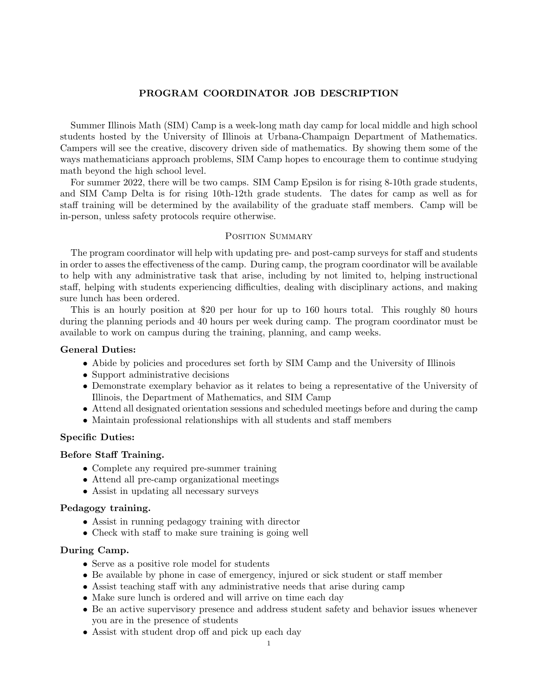# PROGRAM COORDINATOR JOB DESCRIPTION

Summer Illinois Math (SIM) Camp is a week-long math day camp for local middle and high school students hosted by the University of Illinois at Urbana-Champaign Department of Mathematics. Campers will see the creative, discovery driven side of mathematics. By showing them some of the ways mathematicians approach problems, SIM Camp hopes to encourage them to continue studying math beyond the high school level.

For summer 2022, there will be two camps. SIM Camp Epsilon is for rising 8-10th grade students, and SIM Camp Delta is for rising 10th-12th grade students. The dates for camp as well as for staff training will be determined by the availability of the graduate staff members. Camp will be in-person, unless safety protocols require otherwise.

## POSITION SUMMARY

The program coordinator will help with updating pre- and post-camp surveys for staff and students in order to asses the effectiveness of the camp. During camp, the program coordinator will be available to help with any administrative task that arise, including by not limited to, helping instructional staff, helping with students experiencing difficulties, dealing with disciplinary actions, and making sure lunch has been ordered.

This is an hourly position at \$20 per hour for up to 160 hours total. This roughly 80 hours during the planning periods and 40 hours per week during camp. The program coordinator must be available to work on campus during the training, planning, and camp weeks.

### General Duties:

- Abide by policies and procedures set forth by SIM Camp and the University of Illinois
- Support administrative decisions
- Demonstrate exemplary behavior as it relates to being a representative of the University of Illinois, the Department of Mathematics, and SIM Camp
- Attend all designated orientation sessions and scheduled meetings before and during the camp
- Maintain professional relationships with all students and staff members

### Specific Duties:

# Before Staff Training.

- Complete any required pre-summer training
- Attend all pre-camp organizational meetings
- Assist in updating all necessary surveys

### Pedagogy training.

- Assist in running pedagogy training with director
- Check with staff to make sure training is going well

### During Camp.

- Serve as a positive role model for students
- Be available by phone in case of emergency, injured or sick student or staff member
- Assist teaching staff with any administrative needs that arise during camp
- Make sure lunch is ordered and will arrive on time each day
- Be an active supervisory presence and address student safety and behavior issues whenever you are in the presence of students
- Assist with student drop off and pick up each day